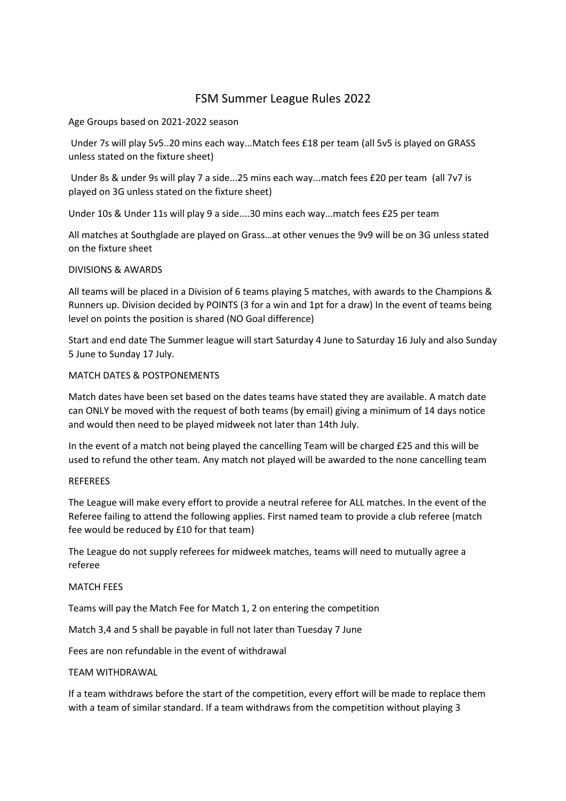# FSM Summer League Rules 2022

Age Groups based on 2021-2022 season

Under 7s will play 5v5..20 mins each way...Match fees £18 per team (all 5v5 is played on GRASS unless stated on the fixture sheet)

Under 8s & under 9s will play 7 a side...25 mins each way...match fees £20 per team (all 7v7 is played on 3G unless stated on the fixture sheet)

Under 10s & Under 11s will play 9 a side....30 mins each way...match fees £25 per team

All matches at Southglade are played on Grass…at other venues the 9v9 will be on 3G unless stated on the fixture sheet

## DIVISIONS & AWARDS

All teams will be placed in a Division of 6 teams playing 5 matches, with awards to the Champions & Runners up. Division decided by POINTS (3 for a win and 1pt for a draw) In the event of teams being level on points the position is shared (NO Goal difference)

Start and end date The Summer league will start Saturday 4 June to Saturday 16 July and also Sunday 5 June to Sunday 17 July.

## MATCH DATES & POSTPONEMENTS

Match dates have been set based on the dates teams have stated they are available. A match date can ONLY be moved with the request of both teams (by email) giving a minimum of 14 days notice and would then need to be played midweek not later than 14th July.

In the event of a match not being played the cancelling Team will be charged £25 and this will be used to refund the other team. Any match not played will be awarded to the none cancelling team

## REFEREES

The League will make every effort to provide a neutral referee for ALL matches. In the event of the Referee failing to attend the following applies. First named team to provide a club referee (match fee would be reduced by £10 for that team)

The League do not supply referees for midweek matches, teams will need to mutually agree a referee

## MATCH FEES

Teams will pay the Match Fee for Match 1, 2 on entering the competition

Match 3,4 and 5 shall be payable in full not later than Tuesday 7 June

Fees are non refundable in the event of withdrawal

## TEAM WITHDRAWAL

If a team withdraws before the start of the competition, every effort will be made to replace them with a team of similar standard. If a team withdraws from the competition without playing 3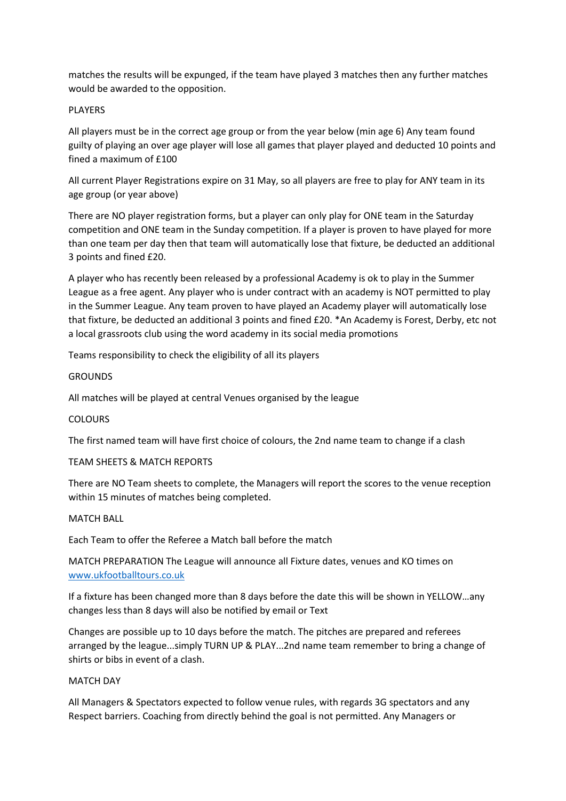matches the results will be expunged, if the team have played 3 matches then any further matches would be awarded to the opposition.

## PLAYERS

All players must be in the correct age group or from the year below (min age 6) Any team found guilty of playing an over age player will lose all games that player played and deducted 10 points and fined a maximum of £100

All current Player Registrations expire on 31 May, so all players are free to play for ANY team in its age group (or year above)

There are NO player registration forms, but a player can only play for ONE team in the Saturday competition and ONE team in the Sunday competition. If a player is proven to have played for more than one team per day then that team will automatically lose that fixture, be deducted an additional 3 points and fined £20.

A player who has recently been released by a professional Academy is ok to play in the Summer League as a free agent. Any player who is under contract with an academy is NOT permitted to play in the Summer League. Any team proven to have played an Academy player will automatically lose that fixture, be deducted an additional 3 points and fined £20. \*An Academy is Forest, Derby, etc not a local grassroots club using the word academy in its social media promotions

Teams responsibility to check the eligibility of all its players

## **GROUNDS**

All matches will be played at central Venues organised by the league

## COLOURS

The first named team will have first choice of colours, the 2nd name team to change if a clash

## TEAM SHEETS & MATCH REPORTS

There are NO Team sheets to complete, the Managers will report the scores to the venue reception within 15 minutes of matches being completed.

## MATCH BALL

Each Team to offer the Referee a Match ball before the match

MATCH PREPARATION The League will announce all Fixture dates, venues and KO times on [www.ukfootballtours.co.uk](http://www.ukfootballtours.co.uk/)

If a fixture has been changed more than 8 days before the date this will be shown in YELLOW…any changes less than 8 days will also be notified by email or Text

Changes are possible up to 10 days before the match. The pitches are prepared and referees arranged by the league...simply TURN UP & PLAY...2nd name team remember to bring a change of shirts or bibs in event of a clash.

## MATCH DAY

All Managers & Spectators expected to follow venue rules, with regards 3G spectators and any Respect barriers. Coaching from directly behind the goal is not permitted. Any Managers or